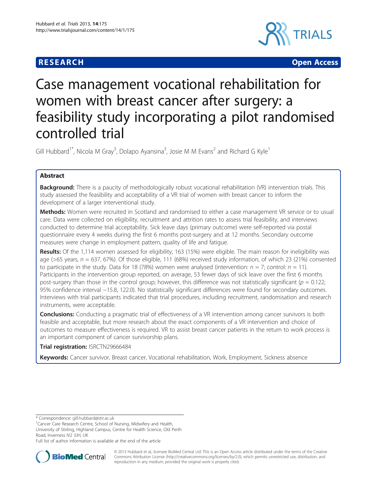# **RESEARCH CHE CHE Open Access**



# Case management vocational rehabilitation for women with breast cancer after surgery: a feasibility study incorporating a pilot randomised controlled trial

Gill Hubbard<sup>1\*</sup>, Nicola M Gray<sup>3</sup>, Dolapo Ayansina<sup>3</sup>, Josie M M Evans<sup>2</sup> and Richard G Kyle<sup>1</sup>

# Abstract

Background: There is a paucity of methodologically robust vocational rehabilitation (VR) intervention trials. This study assessed the feasibility and acceptability of a VR trial of women with breast cancer to inform the development of a larger interventional study.

Methods: Women were recruited in Scotland and randomised to either a case management VR service or to usual care. Data were collected on eligibility, recruitment and attrition rates to assess trial feasibility, and interviews conducted to determine trial acceptability. Sick leave days (primary outcome) were self-reported via postal questionnaire every 4 weeks during the first 6 months post-surgery and at 12 months. Secondary outcome measures were change in employment pattern, quality of life and fatigue.

Results: Of the 1,114 women assessed for eligibility, 163 (15%) were eligible. The main reason for ineligibility was age ( $>65$  years,  $n = 637$ , 67%). Of those eligible, 111 (68%) received study information, of which 23 (21%) consented to participate in the study. Data for 18 (78%) women were analysed (intervention:  $n = 7$ ; control:  $n = 11$ ). Participants in the intervention group reported, on average, 53 fewer days of sick leave over the first 6 months post-surgery than those in the control group; however, this difference was not statistically significant ( $p = 0.122$ ; 95% confidence interval −15.8, 122.0). No statistically significant differences were found for secondary outcomes. Interviews with trial participants indicated that trial procedures, including recruitment, randomisation and research instruments, were acceptable.

**Conclusions:** Conducting a pragmatic trial of effectiveness of a VR intervention among cancer survivors is both feasible and acceptable, but more research about the exact components of a VR intervention and choice of outcomes to measure effectiveness is required. VR to assist breast cancer patients in the return to work process is an important component of cancer survivorship plans.

Trial registration: [ISRCTN29666484](http://www.controlled-trials.com/ISRCTN29666484)

Keywords: Cancer survivor, Breast cancer, Vocational rehabilitation, Work, Employment, Sickness absence

\* Correspondence: [gill.hubbard@stir.ac.uk](mailto:gill.hubbard@stir.ac.uk) <sup>1</sup>

<sup>1</sup> Cancer Care Research Centre, School of Nursing, Midwifery and Health,

University of Stirling, Highland Campus, Centre for Health Science, Old Perth Road, Inverness IV2 3JH, UK

Full list of author information is available at the end of the article



© 2013 Hubbard et al.; licensee BioMed Central Ltd. This is an Open Access article distributed under the terms of the Creative Commons Attribution License [\(http://creativecommons.org/licenses/by/2.0\)](http://creativecommons.org/licenses/by/2.0), which permits unrestricted use, distribution, and reproduction in any medium, provided the original work is properly cited.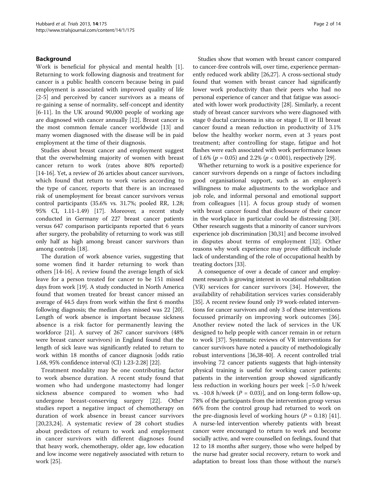# Background

Work is beneficial for physical and mental health [\[1](#page-11-0)]. Returning to work following diagnosis and treatment for cancer is a public health concern because being in paid employment is associated with improved quality of life [[2](#page-11-0)[-5](#page-12-0)] and perceived by cancer survivors as a means of re-gaining a sense of normality, self-concept and identity [[6-11](#page-12-0)]. In the UK around 90,000 people of working age are diagnosed with cancer annually [[12\]](#page-12-0). Breast cancer is the most common female cancer worldwide [\[13\]](#page-12-0) and many women diagnosed with the disease will be in paid employment at the time of their diagnosis.

Studies about breast cancer and employment suggest that the overwhelming majority of women with breast cancer return to work (rates above 80% reported) [[14](#page-12-0)-[16\]](#page-12-0). Yet, a review of 26 articles about cancer survivors, which found that return to work varies according to the type of cancer, reports that there is an increased risk of unemployment for breast cancer survivors versus control participants (35.6% vs. 31.7%; pooled RR, 1.28; 95% CI, 1.11-1.49) [[17](#page-12-0)]. Moreover, a recent study conducted in Germany of 227 breast cancer patients versus 647 comparison participants reported that 6 years after surgery, the probability of returning to work was still only half as high among breast cancer survivors than among controls [\[18\]](#page-12-0).

The duration of work absence varies, suggesting that some women find it harder returning to work than others [\[14](#page-12-0)-[16\]](#page-12-0). A review found the average length of sick leave for a person treated for cancer to be 151 missed days from work [\[19](#page-12-0)]. A study conducted in North America found that women treated for breast cancer missed an average of 44.5 days from work within the first 6 months following diagnosis; the median days missed was 22 [[20](#page-12-0)]. Length of work absence is important because sickness absence is a risk factor for permanently leaving the workforce [[21](#page-12-0)]. A survey of 267 cancer survivors (48% were breast cancer survivors) in England found that the length of sick leave was significantly related to return to work within 18 months of cancer diagnosis [odds ratio 1.68, 95% confidence interval (CI) 1.23-2.28] [[22](#page-12-0)].

Treatment modality may be one contributing factor to work absence duration. A recent study found that women who had undergone mastectomy had longer sickness absence compared to women who had undergone breast-conserving surgery [[22](#page-12-0)]. Other studies report a negative impact of chemotherapy on duration of work absence in breast cancer survivors [[20,23,24](#page-12-0)]. A systematic review of 28 cohort studies about predictors of return to work and employment in cancer survivors with different diagnoses found that heavy work, chemotherapy, older age, low education and low income were negatively associated with return to work [[25](#page-12-0)].

Studies show that women with breast cancer compared to cancer-free controls will, over time, experience permanently reduced work ability [[26,27](#page-12-0)]. A cross-sectional study found that women with breast cancer had significantly lower work productivity than their peers who had no personal experience of cancer and that fatigue was associated with lower work productivity [\[28\]](#page-12-0). Similarly, a recent study of breast cancer survivors who were diagnosed with stage 0 ductal carcinoma in situ or stage I, II or III breast cancer found a mean reduction in productivity of 3.1% below the healthy worker norm, even at 3 years post treatment; after controlling for stage, fatigue and hot flashes were each associated with work performance losses of 1.6% ( $p = 0.05$ ) and 2.2% ( $p < 0.001$ ), respectively [\[29\]](#page-12-0).

Whether returning to work is a positive experience for cancer survivors depends on a range of factors including good organisational support, such as an employer's willingness to make adjustments to the workplace and job role, and informal personal and emotional support from colleagues [[11\]](#page-12-0). A focus group study of women with breast cancer found that disclosure of their cancer in the workplace in particular could be distressing [\[30](#page-12-0)]. Other research suggests that a minority of cancer survivors experience job discrimination [\[30,31](#page-12-0)] and become involved in disputes about terms of employment [[32\]](#page-12-0). Other reasons why work experience may prove difficult include lack of understanding of the role of occupational health by treating doctors [[33](#page-12-0)].

A consequence of over a decade of cancer and employment research is growing interest in vocational rehabilitation (VR) services for cancer survivors [[34\]](#page-12-0). However, the availability of rehabilitation services varies considerably [[35](#page-12-0)]. A recent review found only 19 work-related interventions for cancer survivors and only 3 of these interventions focussed primarily on improving work outcomes [\[36](#page-12-0)]. Another review noted the lack of services in the UK designed to help people with cancer remain in or return to work [[37](#page-12-0)]. Systematic reviews of VR interventions for cancer survivors have noted a paucity of methodologically robust interventions [\[36,38-40\]](#page-12-0). A recent controlled trial involving 72 cancer patients suggests that high-intensity physical training is useful for working cancer patients; patients in the intervention group showed significantly less reduction in working hours per week [−5.0 h/week vs. -10.8 h/week ( $P = 0.03$ )], and on long-term follow-up, 78% of the participants from the intervention group versus 66% from the control group had returned to work on the pre-diagnosis level of working hours ( $P = 0.18$ ) [\[41](#page-12-0)]. A nurse-led intervention whereby patients with breast cancer were encouraged to return to work and become socially active, and were counselled on feelings, found that 12 to 18 months after surgery, those who were helped by the nurse had greater social recovery, return to work and adaptation to breast loss than those without the nurse's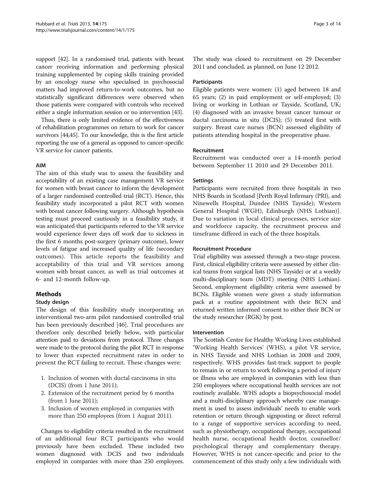support [[42\]](#page-12-0). In a randomised trial, patients with breast cancer receiving information and performing physical training supplemented by coping skills training provided by an oncology nurse who specialised in psychosocial matters had improved return-to-work outcomes, but no statistically significant differences were observed when those patients were compared with controls who received either a single information session or no intervention [[43\]](#page-12-0).

Thus, there is only limited evidence of the effectiveness of rehabilitation programmes on return to work for cancer survivors [[44,45\]](#page-12-0). To our knowledge, this is the first article reporting the use of a general as opposed to cancer-specific VR service for cancer patients.

## AIM

The aim of this study was to assess the feasibility and acceptability of an existing case management VR service for women with breast cancer to inform the development of a larger randomised controlled trial (RCT). Hence, this feasibility study incorporated a pilot RCT with women with breast cancer following surgery. Although hypothesis testing must proceed cautiously in a feasibility study, it was anticipated that participants referred to the VR service would experience fewer days off work due to sickness in the first 6 months post-surgery (primary outcome), lower levels of fatigue and increased quality of life (secondary outcomes). This article reports the feasibility and acceptability of this trial and VR services among women with breast cancer, as well as trial outcomes at 6- and 12-month follow-up.

# Methods

#### Study design

The design of this feasibility study incorporating an interventional two-arm pilot randomised controlled trial has been previously described [\[46](#page-12-0)]. Trial procedures are therefore only described briefly below, with particular attention paid to deviations from protocol. Three changes were made to the protocol during the pilot RCT in response to lower than expected recruitment rates in order to prevent the RCT failing to recruit. These changes were:

- 1. Inclusion of women with ductal carcinoma in situ (DCIS) (from 1 June 2011);
- 2. Extension of the recruitment period by 6 months (from 1 June 2011);
- 3. Inclusion of women employed in companies with more than 250 employees (from 1 August 2011).

Changes to eligibility criteria resulted in the recruitment of an additional four RCT participants who would previously have been excluded. These included two women diagnosed with DCIS and two individuals employed in companies with more than 250 employees.

The study was closed to recruitment on 29 December 2011 and concluded, as planned, on June 12 2012.

## **Participants**

Eligible patients were women: (1) aged between 18 and 65 years; (2) in paid employment or self-employed; (3) living or working in Lothian or Tayside, Scotland, UK; (4) diagnosed with an invasive breast cancer tumour or ductal carcinoma in situ (DCIS); (5) treated first with surgery. Breast care nurses (BCN) assessed eligibility of patients attending hospital in the preoperative phase.

## Recruitment

Recruitment was conducted over a 14-month period between September 11 2010 and 29 December 2011.

# Settings

Participants were recruited from three hospitals in two NHS Boards in Scotland [Perth Royal Infirmary (PRI), and Ninewells Hospital, Dundee (NHS Tayside); Western General Hospital (WGH), Edinburgh (NHS Lothian)]. Due to variation in local clinical processes, service size and workforce capacity, the recruitment process and timeframe differed in each of the three hospitals.

#### Recruitment Procedure

Trial eligibility was assessed through a two-stage process. First, clinical eligibility criteria were assessed by either clinical teams from surgical lists (NHS Tayside) or at a weekly multi-disciplinary team (MDT) meeting (NHS Lothian). Second, employment eligibility criteria were assessed by BCNs. Eligible women were given a study information pack at a routine appointment with their BCN and returned written informed consent to either their BCN or the study researcher (RGK) by post.

#### Intervention

The Scottish Centre for Healthy Working Lives established 'Working Health Services' (WHS), a pilot VR service, in NHS Tayside and NHS Lothian in 2008 and 2009, respectively. WHS provides fast-track support to people to remain in or return to work following a period of injury or illness who are employed in companies with less than 250 employees where occupational health services are not routinely available. WHS adopts a biopsychosocial model and a multi-disciplinary approach whereby case management is used to assess individuals' needs to enable work retention or return through signposting or direct referral to a range of supportive services according to need, such as physiotherapy, occupational therapy, occupational health nurse, occupational health doctor, counsellor/ psychological therapy and complementary therapy. However, WHS is not cancer-specific and prior to the commencement of this study only a few individuals with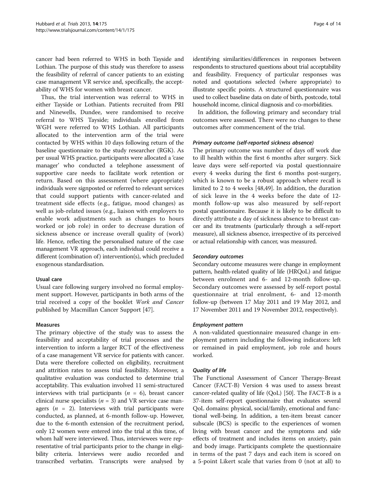cancer had been referred to WHS in both Tayside and Lothian. The purpose of this study was therefore to assess the feasibility of referral of cancer patients to an existing case management VR service and, specifically, the acceptability of WHS for women with breast cancer.

Thus, the trial intervention was referral to WHS in either Tayside or Lothian. Patients recruited from PRI and Ninewells, Dundee, were randomised to receive referral to WHS Tayside; individuals enrolled from WGH were referred to WHS Lothian. All participants allocated to the intervention arm of the trial were contacted by WHS within 10 days following return of the baseline questionnaire to the study researcher (RGK). As per usual WHS practice, participants were allocated a 'case manager' who conducted a telephone assessment of supportive care needs to facilitate work retention or return. Based on this assessment (where appropriate) individuals were signposted or referred to relevant services that could support patients with cancer-related and treatment side effects (e.g., fatigue, mood changes) as well as job-related issues (e.g., liaison with employers to enable work adjustments such as changes to hours worked or job role) in order to decrease duration of sickness absence or increase overall quality of (work) life. Hence, reflecting the personalised nature of the case management VR approach, each individual could receive a different (combination of) intervention(s), which precluded exogenous standardisation.

# Usual care

Usual care following surgery involved no formal employment support. However, participants in both arms of the trial received a copy of the booklet Work and Cancer published by Macmillan Cancer Support [[47\]](#page-12-0).

#### Measures

The primary objective of the study was to assess the feasibility and acceptability of trial processes and the intervention to inform a larger RCT of the effectiveness of a case management VR service for patients with cancer. Data were therefore collected on eligibility, recruitment and attrition rates to assess trial feasibility. Moreover, a qualitative evaluation was conducted to determine trial acceptability. This evaluation involved 11 semi-structured interviews with trial participants ( $n = 6$ ), breast cancer clinical nurse specialists ( $n = 3$ ) and VR service case managers ( $n = 2$ ). Interviews with trial participants were conducted, as planned, at 6-month follow-up. However, due to the 6-month extension of the recruitment period, only 12 women were entered into the trial at this time, of whom half were interviewed. Thus, interviewees were representative of trial participants prior to the change in eligibility criteria. Interviews were audio recorded and transcribed verbatim. Transcripts were analysed by

identifying similarities/differences in responses between respondents to structured questions about trial acceptability and feasibility. Frequency of particular responses was noted and quotations selected (where appropriate) to illustrate specific points. A structured questionnaire was used to collect baseline data on date of birth, postcode, total household income, clinical diagnosis and co-morbidities.

In addition, the following primary and secondary trial outcomes were assessed. There were no changes to these outcomes after commencement of the trial.

#### Primary outcome (self-reported sickness absence)

The primary outcome was number of days off work due to ill health within the first 6 months after surgery. Sick leave days were self-reported via postal questionnaire every 4 weeks during the first 6 months post-surgery, which is known to be a robust approach where recall is limited to 2 to 4 weeks [\[48,49](#page-12-0)]. In addition, the duration of sick leave in the 4 weeks before the date of 12 month follow-up was also measured by self-report postal questionnaire. Because it is likely to be difficult to directly attribute a day of sickness absence to breast cancer and its treatments (particularly through a self-report measure), all sickness absence, irrespective of its perceived or actual relationship with cancer, was measured.

#### Secondary outcomes

Secondary outcome measures were change in employment pattern, health-related quality of life (HRQoL) and fatigue between enrolment and 6- and 12-month follow-up. Secondary outcomes were assessed by self-report postal questionnaire at trial enrolment, 6- and 12-month follow-up (between 17 May 2011 and 19 May 2012, and 17 November 2011 and 19 November 2012, respectively).

#### Employment pattern

A non-validated questionnaire measured change in employment pattern including the following indicators: left or remained in paid employment, job role and hours worked.

#### Quality of life

The Functional Assessment of Cancer Therapy-Breast Cancer (FACT-B) Version 4 was used to assess breast cancer-related quality of life (QoL) [\[50\]](#page-12-0). The FACT-B is a 37-item self-report questionnaire that evaluates several QoL domains: physical, social/family, emotional and functional well-being. In addition, a ten-item breast cancer subscale (BCS) is specific to the experiences of women living with breast cancer and the symptoms and side effects of treatment and includes items on anxiety, pain and body image. Participants complete the questionnaire in terms of the past 7 days and each item is scored on a 5-point Likert scale that varies from 0 (not at all) to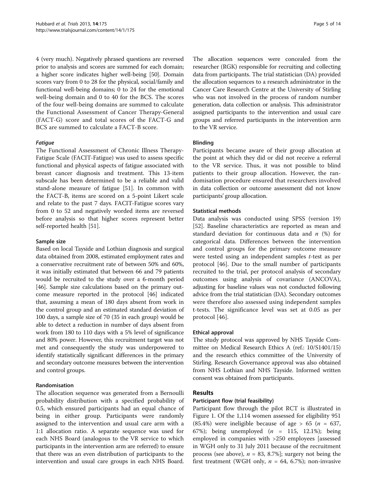4 (very much). Negatively phrased questions are reversed prior to analysis and scores are summed for each domain; a higher score indicates higher well-being [[50\]](#page-12-0). Domain scores vary from 0 to 28 for the physical, social/family and functional well-being domains; 0 to 24 for the emotional well-being domain and 0 to 40 for the BCS. The scores of the four well-being domains are summed to calculate the Functional Assessment of Cancer Therapy-General (FACT-G) score and total scores of the FACT-G and BCS are summed to calculate a FACT-B score.

# Fatigue

The Functional Assessment of Chronic Illness Therapy-Fatigue Scale (FACIT-Fatigue) was used to assess specific functional and physical aspects of fatigue associated with breast cancer diagnosis and treatment. This 13-item subscale has been determined to be a reliable and valid stand-alone measure of fatigue [\[51](#page-13-0)]. In common with the FACT-B, items are scored on a 5-point Likert scale and relate to the past 7 days. FACIT-Fatigue scores vary from 0 to 52 and negatively worded items are reversed before analysis so that higher scores represent better self-reported health [[51\]](#page-13-0).

## Sample size

Based on local Tayside and Lothian diagnosis and surgical data obtained from 2008, estimated employment rates and a conservative recruitment rate of between 50% and 60%, it was initially estimated that between 66 and 79 patients would be recruited to the study over a 6-month period [[46](#page-12-0)]. Sample size calculations based on the primary outcome measure reported in the protocol [[46](#page-12-0)] indicated that, assuming a mean of 180 days absent from work in the control group and an estimated standard deviation of 100 days, a sample size of 70 (35 in each group) would be able to detect a reduction in number of days absent from work from 180 to 110 days with a 5% level of significance and 80% power. However, this recruitment target was not met and consequently the study was underpowered to identify statistically significant differences in the primary and secondary outcome measures between the intervention and control groups.

#### Randomisation

The allocation sequence was generated from a Bernoulli probability distribution with a specified probability of 0.5, which ensured participants had an equal chance of being in either group. Participants were randomly assigned to the intervention and usual care arm with a 1:1 allocation ratio. A separate sequence was used for each NHS Board (analogous to the VR service to which participants in the intervention arm are referred) to ensure that there was an even distribution of participants to the intervention and usual care groups in each NHS Board.

The allocation sequences were concealed from the researcher (RGK) responsible for recruiting and collecting data from participants. The trial statistician (DA) provided the allocation sequences to a research administrator in the Cancer Care Research Centre at the University of Stirling who was not involved in the process of random number generation, data collection or analysis. This administrator assigned participants to the intervention and usual care groups and referred participants in the intervention arm to the VR service.

## Blinding

Participants became aware of their group allocation at the point at which they did or did not receive a referral to the VR service. Thus, it was not possible to blind patients to their group allocation. However, the randomisation procedure ensured that researchers involved in data collection or outcome assessment did not know participants' group allocation.

## Statistical methods

Data analysis was conducted using SPSS (version 19) [[52\]](#page-13-0). Baseline characteristics are reported as mean and standard deviation for continuous data and  $n$  (%) for categorical data. Differences between the intervention and control groups for the primary outcome measure were tested using an independent samples t-test as per protocol [\[46](#page-12-0)]. Due to the small number of participants recruited to the trial, per protocol analysis of secondary outcomes using analysis of covariance (ANCOVA), adjusting for baseline values was not conducted following advice from the trial statistician (DA). Secondary outcomes were therefore also assessed using independent samples t-tests. The significance level was set at 0.05 as per protocol [[46\]](#page-12-0).

#### Ethical approval

The study protocol was approved by NHS Tayside Committee on Medical Research Ethics A (ref.: 10/S1401/15) and the research ethics committee of the University of Stirling. Research Governance approval was also obtained from NHS Lothian and NHS Tayside. Informed written consent was obtained from participants.

# Results

#### Participant flow (trial feasibility)

Participant flow through the pilot RCT is illustrated in Figure [1.](#page-5-0) Of the 1,114 women assessed for eligibility 951 (85.4%) were ineligible because of age  $> 65$  ( $n = 637$ , 67%); being unemployed  $(n = 115, 12.1%)$ ; being employed in companies with >250 employees [assessed in WGH only to 31 July 2011 because of the recruitment process (see above),  $n = 83, 8.7\%$ ]; surgery not being the first treatment (WGH only,  $n = 64$ , 6.7%); non-invasive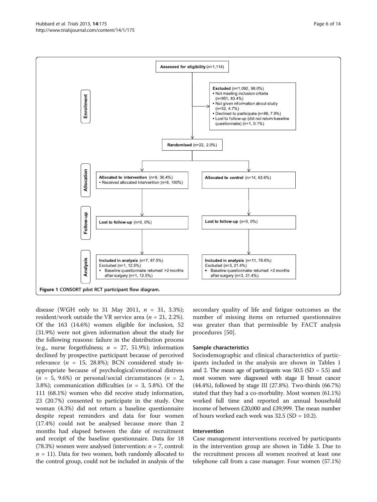<span id="page-5-0"></span>

disease (WGH only to 31 May 2011,  $n = 31, 3.3\%$ ); resident/work outside the VR service area ( $n = 21, 2.2\%$ ). Of the 163 (14.6%) women eligible for inclusion, 52 (31.9%) were not given information about the study for the following reasons: failure in the distribution process (e.g., nurse forgetfulness;  $n = 27, 51.9\%)$ ; information declined by prospective participant because of perceived relevance ( $n = 15$ , 28.8%); BCN considered study inappropriate because of psychological/emotional distress  $(n = 5, 9.6\%)$  or personal/social circumstances  $(n = 2, 1)$ 3.8%); communication difficulties ( $n = 3, 5.8$ %). Of the 111 (68.1%) women who did receive study information, 23 (20.7%) consented to participate in the study. One woman (4.3%) did not return a baseline questionnaire despite repeat reminders and data for four women (17.4%) could not be analysed because more than 2 months had elapsed between the date of recruitment and receipt of the baseline questionnaire. Data for 18 (78.3%) women were analysed (intervention:  $n = 7$ , control:  $n = 11$ ). Data for two women, both randomly allocated to the control group, could not be included in analysis of the secondary quality of life and fatigue outcomes as the number of missing items on returned questionnaires was greater than that permissible by FACT analysis procedures [[50\]](#page-12-0).

## Sample characteristics

Sociodemographic and clinical characteristics of participants included in the analysis are shown in Tables [1](#page-6-0) and [2](#page-6-0). The mean age of participants was  $50.5$  (SD =  $5.5$ ) and most women were diagnosed with stage II breast cancer (44.4%), followed by stage III (27.8%). Two-thirds (66.7%) stated that they had a co-morbidity. Most women (61.1%) worked full time and reported an annual household income of between £20,000 and £39,999. The mean number of hours worked each week was 32.5 (SD = 10.2).

#### Intervention

Case management interventions received by participants in the intervention group are shown in Table [3.](#page-7-0) Due to the recruitment process all women received at least one telephone call from a case manager. Four women (57.1%)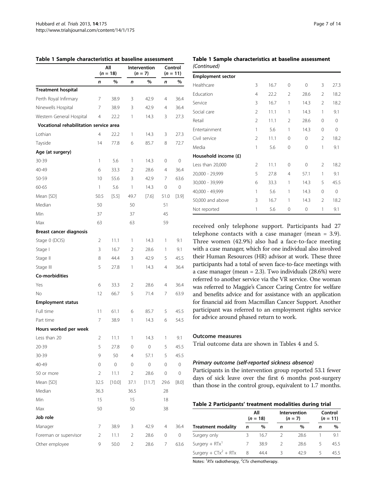<span id="page-6-0"></span>

|  |  | Table 1 Sample characteristics at baseline assessment |  |  |  |
|--|--|-------------------------------------------------------|--|--|--|
|--|--|-------------------------------------------------------|--|--|--|

|                                        |                | All<br>$(n = 18)$ |                | Intervention<br>$(n = 7)$ |      | Control<br>$(n = 11)$ |
|----------------------------------------|----------------|-------------------|----------------|---------------------------|------|-----------------------|
|                                        | n              | $\%$              | n              | %                         | n    | %                     |
| <b>Treatment hospital</b>              |                |                   |                |                           |      |                       |
| Perth Royal Infirmary                  | 7              | 38.9              | 3              | 42.9                      | 4    | 36.4                  |
| Ninewells Hospital                     | 7              | 38.9              | 3              | 42.9                      | 4    | 36.4                  |
| Western General Hospital               | 4              | 22.2              | 1              | 14.3                      | 3    | 27.3                  |
| Vocational rehabilitation service area |                |                   |                |                           |      |                       |
| Lothian                                | 4              | 22.2              | 1              | 14.3                      | 3    | 27.3                  |
| Tayside                                | 14             | 77.8              | 6              | 85.7                      | 8    | 72.7                  |
| Age (at surgery)                       |                |                   |                |                           |      |                       |
| 30-39                                  | 1              | 5.6               | 1              | 14.3                      | 0    | 0                     |
| 40-49                                  | 6              | 33.3              | 2              | 28.6                      | 4    | 36.4                  |
| 50-59                                  | 10             | 55.6              | 3              | 42.9                      | 7    | 63.6                  |
| 60-65                                  | 1              | 5.6               | 1              | 14.3                      | 0    | 0                     |
| Mean [SD]                              | 50.5           | [5.5]             | 49.7           | [7.6]                     | 51.0 | $[3.9]$               |
| Median                                 | 50             |                   | 50             |                           | 51   |                       |
| Min                                    | 37             |                   | 37             |                           | 45   |                       |
| Max                                    | 63             |                   | 63             |                           | 59   |                       |
| Breast cancer diagnosis                |                |                   |                |                           |      |                       |
| Stage 0 (DCIS)                         | $\overline{2}$ | 11.1              | 1              | 14.3                      | 1    | 9.1                   |
| Stage I                                | 3              | 16.7              | 2              | 28.6                      | 1    | 9.1                   |
| Stage II                               | 8              | 44.4              | 3              | 42.9                      | 5    | 45.5                  |
| Stage III                              | 5              | 27.8              | 1              | 14.3                      | 4    | 36.4                  |
| Co-morbidities                         |                |                   |                |                           |      |                       |
| Yes                                    | 6              | 33.3              | 2              | 28.6                      | 4    | 36.4                  |
| <b>No</b>                              | 12             | 66.7              | 5              | 71.4                      | 7    | 63.9                  |
| <b>Employment status</b>               |                |                   |                |                           |      |                       |
| Full time                              | 11             | 61.1              | 6              | 85.7                      | 5    | 45.5                  |
| Part time                              | 7              | 38.9              | 1              | 14.3                      | 6    | 54.5                  |
| Hours worked per week                  |                |                   |                |                           |      |                       |
| Less than 20                           | $\overline{2}$ | 11.1              | 1              | 14.3                      | 1    | 9.1                   |
| 20-39                                  | 5              | 27.8              | 0              | $\overline{0}$            | 5    | 45.5                  |
| 30-39                                  | 9              | 50                | 4              | 57.1                      | 5    | 45.5                  |
| 40-49                                  | 0              | 0                 | 0              | 0                         | 0    | 0                     |
| 50 or more                             | $\overline{2}$ | 11.1              | $\overline{2}$ | 28.6                      | 0    | $\mathcal O$          |
| Mean [SD]                              | 32.5           | [10.0]            | 37.1           | [11.7]                    | 29.6 | [8.0]                 |
| Median                                 | 36.3           |                   | 36.5           |                           | 28   |                       |
| Min                                    | 15             |                   | 15             |                           | 18   |                       |
| Max                                    | 50             |                   | 50             |                           | 38   |                       |
| Job role                               |                |                   |                |                           |      |                       |
| Manager                                | 7              | 38.9              | 3              | 42.9                      | 4    | 36.4                  |
| Foreman or supervisor                  | 2              | 11.1              | 2              | 28.6                      | 0    | 0                     |
| Other employee                         | 9              | 50.0              | $\overline{2}$ | 28.6                      | 7    | 63.6                  |

#### Table 1 Sample characteristics at baseline assessment (Continued)

| <b>Employment sector</b> |                |      |                |          |                |      |
|--------------------------|----------------|------|----------------|----------|----------------|------|
| Healthcare               | 3              | 16.7 | $\Omega$       | 0        | 3              | 27.3 |
| Education                | $\overline{4}$ | 22.2 | $\mathfrak{D}$ | 28.6     | $\mathfrak{D}$ | 18.2 |
| Service                  | 3              | 16.7 | 1              | 14.3     | $\mathfrak{D}$ | 18.2 |
| Social care              | 2              | 11.1 | 1              | 14.3     | 1              | 9.1  |
| Retail                   | 2              | 11.1 | $\overline{2}$ | 28.6     | $\Omega$       | 0    |
| Entertainment            | 1              | 5.6  | 1              | 14.3     | $\Omega$       | 0    |
| Civil service            | 2              | 11.1 | $\mathbf 0$    | 0        | $\mathfrak{D}$ | 18.2 |
| Media                    | 1              | 5.6  | $\mathbf 0$    | 0        | 1              | 9.1  |
| Household income (£)     |                |      |                |          |                |      |
| Less than 20,000         | 2              | 11.1 | $\Omega$       | $\Omega$ | $\mathfrak{D}$ | 18.2 |
| 20,000 - 29,999          | 5              | 27.8 | $\overline{4}$ | 57.1     | 1              | 9.1  |
| 30,000 - 39,999          | 6              | 33.3 | 1              | 14.3     | 5              | 45.5 |
| 40,000 - 49,999          | 1              | 5.6  | 1              | 14.3     | $\Omega$       | 0    |
| 50,000 and above         | 3              | 16.7 | 1              | 14.3     | $\mathfrak{D}$ | 18.2 |
| Not reported             | 1              | 5.6  | $\Omega$       | 0        | 1              | 9.1  |

received only telephone support. Participants had 27 telephone contacts with a case manager (mean = 3.9). Three women (42.9%) also had a face-to-face meeting with a case manager, which for one individual also involved their Human Resources (HR) advisor at work. These three participants had a total of seven face-to-face meetings with a case manager (mean = 2.3). Two individuals (28.6%) were referred to another service via the VR service. One woman was referred to Maggie's Cancer Caring Centre for welfare and benefits advice and for assistance with an application for financial aid from Macmillan Cancer Support. Another participant was referred to an employment rights service for advice around phased return to work.

#### Outcome measures

Trial outcome data are shown in Tables [4](#page-7-0) and [5](#page-8-0).

#### Primary outcome (self-reported sickness absence)

Participants in the intervention group reported 53.1 fewer days of sick leave over the first 6 months post-surgery than those in the control group, equivalent to 1.7 months.

#### Table 2 Participants' treatment modalities during trial

|                           |   | Αll<br>$(n = 18)$ |   | Intervention<br>$(n = 7)$ | Control<br>$(n = 11)$ |      |  |
|---------------------------|---|-------------------|---|---------------------------|-----------------------|------|--|
| <b>Treatment modality</b> | n | $\%$              | n | $\%$                      | n                     | $\%$ |  |
| Surgery only              |   | 167               |   | 28.6                      |                       | 91   |  |
| Surgery $+ RTx^T$         |   | 38.9              |   | 28.6                      | ↖                     | 45.5 |  |
| Surgery + $CTx^2$ + RTx   | 8 | 44.4              |   | 429                       |                       | 45.5 |  |

Notes: <sup>1</sup>RTx radiotherapy, <sup>2</sup>CTx chemotherapy.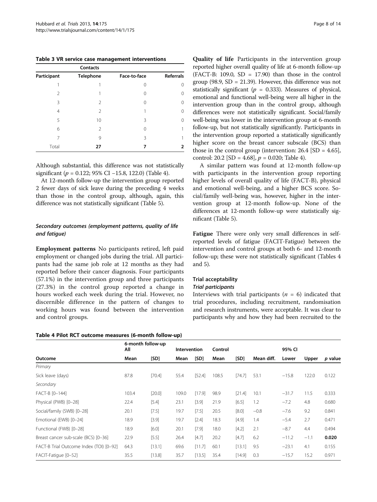<span id="page-7-0"></span>

|             | <b>Contacts</b> |              |                  |
|-------------|-----------------|--------------|------------------|
| Participant | Telephone       | Face-to-face | <b>Referrals</b> |
|             |                 | 0            |                  |
| 2           | 1               | 0            |                  |
| 3           | $\mathfrak{D}$  | Ω            |                  |
| 4           | 2               |              |                  |
| 5           | 10              | 3            |                  |
| 6           | $\mathfrak{D}$  | 0            |                  |
|             | 9               | 3            |                  |
| Total       | 27              | 7            | 2                |

Although substantial, this difference was not statistically significant ( $p = 0.122$ ; 95% CI −15.8, 122.0) (Table 4).

At 12-month follow-up the intervention group reported 2 fewer days of sick leave during the preceding 4 weeks than those in the control group, although, again, this difference was not statistically significant (Table [5](#page-8-0)).

# Secondary outcomes (employment patterns, quality of life and fatigue)

Employment patterns No participants retired, left paid employment or changed jobs during the trial. All participants had the same job role at 12 months as they had reported before their cancer diagnosis. Four participants (57.1%) in the intervention group and three participants (27.3%) in the control group reported a change in hours worked each week during the trial. However, no discernible difference in the pattern of changes to working hours was found between the intervention and control groups.

| Table 4 Pilot RCT outcome measures (6-month follow-up) |  |  |  |  |
|--------------------------------------------------------|--|--|--|--|
|--------------------------------------------------------|--|--|--|--|

Quality of life Participants in the intervention group reported higher overall quality of life at 6-month follow-up  $(FACT-B: 109.0, SD = 17.90)$  than those in the control group (98.9,  $SD = 21.39$ ). However, this difference was not statistically significant ( $p = 0.333$ ). Measures of physical, emotional and functional well-being were all higher in the intervention group than in the control group, although differences were not statistically significant. Social/family well-being was lower in the intervention group at 6-month follow-up, but not statistically significantly. Participants in the intervention group reported a statistically significantly higher score on the breast cancer subscale (BCS) than those in the control group (intervention:  $26.4$  [SD =  $4.65$ ], control: 20.2 [SD = 4.68],  $p = 0.020$ ; Table 4).

A similar pattern was found at 12-month follow-up with participants in the intervention group reporting higher levels of overall quality of life (FACT-B), physical and emotional well-being, and a higher BCS score. Social/family well-being was, however, higher in the intervention group at 12-month follow-up. None of the differences at 12-month follow-up were statistically significant (Table [5\)](#page-8-0).

Fatigue There were only very small differences in selfreported levels of fatigue (FACIT-Fatigue) between the intervention and control groups at both 6- and 12-month follow-up; these were not statistically significant (Tables 4 and [5](#page-8-0)).

#### Trial acceptability

#### Trial participants

Interviews with trial participants  $(n = 6)$  indicated that trial procedures, including recruitment, randomisation and research instruments, were acceptable. It was clear to participants why and how they had been recruited to the

|                                         |       | 6-month follow-up |              |         |         |         |            |         |        |         |
|-----------------------------------------|-------|-------------------|--------------|---------|---------|---------|------------|---------|--------|---------|
|                                         | All   |                   | Intervention |         | Control |         |            | 95% CI  |        |         |
| Outcome                                 | Mean  | [SD]              | Mean         | [SD]    | Mean    | [SD]    | Mean diff. | Lower   | Upper  | p value |
| Primary                                 |       |                   |              |         |         |         |            |         |        |         |
| Sick leave (days)                       | 87.8  | [70.4]            | 55.4         | [52.4]  | 108.5   | [74.7]  | 53.1       | $-15.8$ | 122.0  | 0.122   |
| Secondary                               |       |                   |              |         |         |         |            |         |        |         |
| FACT-B [0-144]                          | 103.4 | [20.0]            | 109.0        | [17.9]  | 98.9    | [21.4]  | 10.1       | $-31.7$ | 11.5   | 0.333   |
| Physical (PWB) [0-28]                   | 22.4  | $[5.4]$           | 23.1         | [3.9]   | 21.9    | $[6.5]$ | 1.2        | $-7.2$  | 4.8    | 0.680   |
| Social/family (SWB) [0-28]              | 20.1  | $[7.5]$           | 19.7         | [7.5]   | 20.5    | [8.0]   | $-0.8$     | $-7.6$  | 9.2    | 0.841   |
| Emotional (EWB) [0-24]                  | 18.9  | [3.9]             | 19.7         | $[2.4]$ | 18.3    | $[4.9]$ | 1.4        | $-5.4$  | 2.7    | 0.471   |
| Functional (FWB) [0-28]                 | 18.9  | [6.0]             | 20.1         | [7.9]   | 18.0    | $[4.2]$ | 2.1        | $-8.7$  | 4.4    | 0.494   |
| Breast cancer sub-scale (BCS) [0-36]    | 22.9  | $[5.5]$           | 26.4         | [4.7]   | 20.2    | $[4.7]$ | 6.2        | $-11.2$ | $-1.1$ | 0.020   |
| FACT-B Trial Outcome Index (TOI) [0-92] | 64.3  | [13.1]            | 69.6         | [11.7]  | 60.1    | [13.1]  | 9.5        | $-23.1$ | 4.1    | 0.155   |
| FACIT-Fatigue [0-52]                    | 35.5  | [13.8]            | 35.7         | [13.5]  | 35.4    | [14.9]  | 0.3        | $-15.7$ | 15.2   | 0.971   |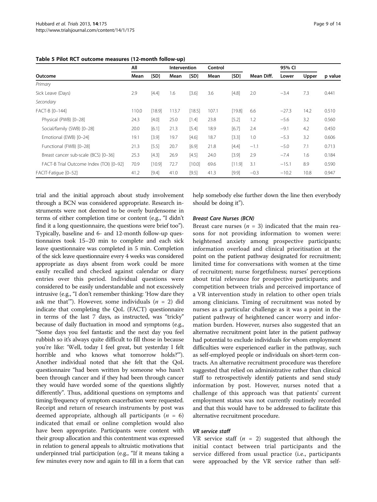|                                         | All   |         | Intervention |         | Control |         |            | 95% CI  |       |         |
|-----------------------------------------|-------|---------|--------------|---------|---------|---------|------------|---------|-------|---------|
| Outcome                                 | Mean  | [SD]    | Mean         | [SD]    | Mean    | [SD]    | Mean Diff. | Lower   | Upper | p value |
| Primary                                 |       |         |              |         |         |         |            |         |       |         |
| Sick Leave (Days)                       | 2.9   | $[4.4]$ | 1.6          | $[3.6]$ | 3.6     | [4.8]   | 2.0        | $-3.4$  | 7.3   | 0.441   |
| Secondary                               |       |         |              |         |         |         |            |         |       |         |
| FACT-B [0-144]                          | 110.0 | [18.9]  | 113.7        | [18.5]  | 107.1   | [19.8]  | 6.6        | $-27.3$ | 14.2  | 0.510   |
| Physical (PWB) [0-28]                   | 24.3  | $[4.0]$ | 25.0         | $[1.4]$ | 23.8    | $[5.2]$ | 1.2        | $-5.6$  | 3.2   | 0.560   |
| Social/family (SWB) [0-28]              | 20.0  | [6.1]   | 21.3         | $[5.4]$ | 18.9    | $[6.7]$ | 2.4        | $-9.1$  | 4.2   | 0.450   |
| Emotional (EWB) [0-24]                  | 19.1  | $[3.9]$ | 19.7         | $[4.6]$ | 18.7    | $[3.3]$ | 1.0        | $-5.3$  | 3.2   | 0.606   |
| Functional (FWB) [0-28]                 | 21.3  | $[5.5]$ | 20.7         | [6.9]   | 21.8    | $[4.4]$ | $-1.1$     | $-5.0$  | 7.1   | 0.713   |
| Breast cancer sub-scale (BCS) [0-36]    | 25.3  | $[4.3]$ | 26.9         | $[4.5]$ | 24.0    | [3.9]   | 2.9        | $-7.4$  | 1.6   | 0.184   |
| FACT-B Trial Outcome Index (TOI) [0-92] | 70.9  | [10.9]  | 72.7         | [10.0]  | 69.6    | [11.9]  | 3.1        | $-15.1$ | 8.9   | 0.590   |
| FACIT-Fatigue [0-52]                    | 41.2  | $[9.4]$ | 41.0         | $[9.5]$ | 41.3    | [9.9]   | $-0.3$     | $-10.2$ | 10.8  | 0.947   |

<span id="page-8-0"></span>Table 5 Pilot RCT outcome measures (12-month follow-up)

trial and the initial approach about study involvement through a BCN was considered appropriate. Research instruments were not deemed to be overly burdensome in terms of either completion time or content (e.g., "I didn't find it a long questionnaire, the questions were brief too"). Typically, baseline and 6- and 12-month follow-up questionnaires took 15–20 min to complete and each sick leave questionnaire was completed in 5 min. Completion of the sick leave questionnaire every 4 weeks was considered appropriate as days absent from work could be more easily recalled and checked against calendar or diary entries over this period. Individual questions were considered to be easily understandable and not excessively intrusive (e.g., "I don't remember thinking: 'How dare they ask me that"). However, some individuals  $(n = 2)$  did indicate that completing the QoL (FACT) questionnaire in terms of the last 7 days, as instructed, was "tricky" because of daily fluctuation in mood and symptoms (e.g., "Some days you feel fantastic and the next day you feel rubbish so it's always quite difficult to fill those in because you're like: 'Well, today I feel great, but yesterday I felt horrible and who knows what tomorrow holds?'"). Another individual noted that she felt that the QoL questionnaire "had been written by someone who hasn't been through cancer and if they had been through cancer they would have worded some of the questions slightly differently". Thus, additional questions on symptoms and timing/frequency of symptom exacerbation were requested. Receipt and return of research instruments by post was deemed appropriate, although all participants ( $n = 6$ ) indicated that email or online completion would also have been appropriate. Participants were content with their group allocation and this contentment was expressed in relation to general appeals to altruistic motivations that underpinned trial participation (e.g., "If it means taking a few minutes every now and again to fill in a form that can

help somebody else further down the line then everybody should be doing it").

#### Breast Care Nurses (BCN)

Breast care nurses ( $n = 3$ ) indicated that the main reasons for not providing information to women were: heightened anxiety among prospective participants; information overload and clinical prioritisation at the point on the patient pathway designated for recruitment; limited time for conversations with women at the time of recruitment; nurse forgetfulness; nurses' perceptions about trial relevance for prospective participants; and competition between trials and perceived importance of a VR intervention study in relation to other open trials among clinicians. Timing of recruitment was noted by nurses as a particular challenge as it was a point in the patient pathway of heightened cancer worry and information burden. However, nurses also suggested that an alternative recruitment point later in the patient pathway had potential to exclude individuals for whom employment difficulties were experienced earlier in the pathway, such as self-employed people or individuals on short-term contracts. An alternative recruitment procedure was therefore suggested that relied on administrative rather than clinical staff to retrospectively identify patients and send study information by post. However, nurses noted that a challenge of this approach was that patients' current employment status was not currently routinely recorded and that this would have to be addressed to facilitate this alternative recruitment procedure.

#### VR service staff

VR service staff ( $n = 2$ ) suggested that although the initial contact between trial participants and the service differed from usual practice (i.e., participants were approached by the VR service rather than self-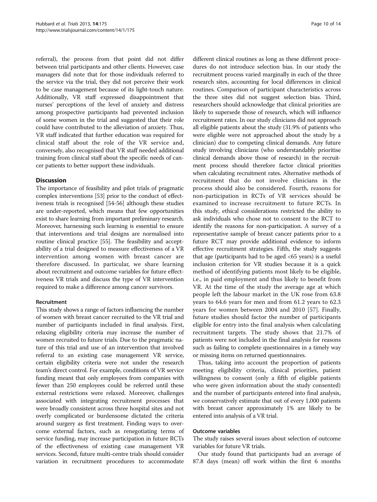referral), the process from that point did not differ between trial participants and other clients. However, case managers did note that for those individuals referred to the service via the trial, they did not perceive their work to be case management because of its light-touch nature. Additionally, VR staff expressed disappointment that nurses' perceptions of the level of anxiety and distress among prospective participants had prevented inclusion of some women in the trial and suggested that their role could have contributed to the alleviation of anxiety. Thus, VR staff indicated that further education was required for clinical staff about the role of the VR service and, conversely, also recognised that VR staff needed additional training from clinical staff about the specific needs of cancer patients to better support these individuals.

## **Discussion**

The importance of feasibility and pilot trials of pragmatic complex interventions [[53\]](#page-13-0) prior to the conduct of effectiveness trials is recognised [[54](#page-13-0)-[56](#page-13-0)] although these studies are under-reported, which means that few opportunities exist to share learning from important preliminary research. Moreover, harnessing such learning is essential to ensure that interventions and trial designs are normalised into routine clinical practice [[55](#page-13-0)]. The feasibility and acceptability of a trial designed to measure effectiveness of a VR intervention among women with breast cancer are therefore discussed. In particular, we share learning about recruitment and outcome variables for future effectiveness VR trials and discuss the type of VR intervention required to make a difference among cancer survivors.

#### Recruitment

This study shows a range of factors influencing the number of women with breast cancer recruited to the VR trial and number of participants included in final analysis. First, relaxing eligibility criteria may increase the number of women recruited to future trials. Due to the pragmatic nature of this trial and use of an intervention that involved referral to an existing case management VR service, certain eligibility criteria were not under the research team's direct control. For example, conditions of VR service funding meant that only employees from companies with fewer than 250 employees could be referred until these external restrictions were relaxed. Moreover, challenges associated with integrating recruitment processes that were broadly consistent across three hospital sites and not overly complicated or burdensome dictated the criteria around surgery as first treatment. Finding ways to overcome external factors, such as renegotiating terms of service funding, may increase participation in future RCTs of the effectiveness of existing case management VR services. Second, future multi-centre trials should consider variation in recruitment procedures to accommodate

different clinical routines as long as these different procedures do not introduce selection bias. In our study the recruitment process varied marginally in each of the three research sites, accounting for local differences in clinical routines. Comparison of participant characteristics across the three sites did not suggest selection bias. Third, researchers should acknowledge that clinical priorities are likely to supersede those of research, which will influence recruitment rates. In our study clinicians did not approach all eligible patients about the study (31.9% of patients who were eligible were not approached about the study by a clinician) due to competing clinical demands. Any future study involving clinicians (who understandably prioritise clinical demands above those of research) in the recruitment process should therefore factor clinical priorities when calculating recruitment rates. Alternative methods of recruitment that do not involve clinicians in the process should also be considered. Fourth, reasons for non-participation in RCTs of VR services should be examined to increase recruitment to future RCTs. In this study, ethical considerations restricted the ability to ask individuals who chose not to consent to the RCT to identify the reasons for non-participation. A survey of a representative sample of breast cancer patients prior to a future RCT may provide additional evidence to inform effective recruitment strategies. Fifth, the study suggests that age (participants had to be aged <65 years) is a useful inclusion criterion for VR studies because it is a quick method of identifying patients most likely to be eligible, i.e., in paid employment and thus likely to benefit from VR. At the time of the study the average age at which people left the labour market in the UK rose from 63.8 years to 64.6 years for men and from 61.2 years to 62.3 years for women between 2004 and 2010 [\[57](#page-13-0)]. Finally, future studies should factor the number of participants eligible for entry into the final analysis when calculating recruitment targets. The study shows that 21.7% of patients were not included in the final analysis for reasons such as failing to complete questionnaires in a timely way or missing items on returned questionnaires.

Thus, taking into account the proportion of patients meeting eligibility criteria, clinical priorities, patient willingness to consent (only a fifth of eligible patients who were given information about the study consented) and the number of participants entered into final analysis, we conservatively estimate that out of every 1,000 patients with breast cancer approximately 1% are likely to be entered into analysis of a VR trial.

#### Outcome variables

The study raises several issues about selection of outcome variables for future VR trials.

Our study found that participants had an average of 87.8 days (mean) off work within the first 6 months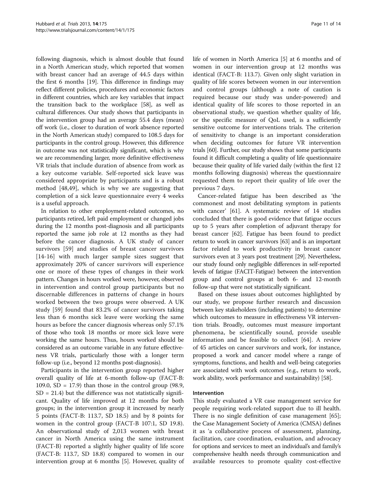following diagnosis, which is almost double that found in a North American study, which reported that women with breast cancer had an average of 44.5 days within the first 6 months [\[19](#page-12-0)]. This difference in findings may reflect different policies, procedures and economic factors in different countries, which are key variables that impact the transition back to the workplace [[58\]](#page-13-0), as well as cultural differences. Our study shows that participants in the intervention group had an average 55.4 days (mean) off work (i.e., closer to duration of work absence reported in the North American study) compared to 108.5 days for participants in the control group. However, this difference in outcome was not statistically significant, which is why we are recommending larger, more definitive effectiveness VR trials that include duration of absence from work as a key outcome variable. Self-reported sick leave was considered appropriate by participants and is a robust method [[48,49\]](#page-12-0), which is why we are suggesting that completion of a sick leave questionnaire every 4 weeks is a useful approach.

In relation to other employment-related outcomes, no participants retired, left paid employment or changed jobs during the 12 months post-diagnosis and all participants reported the same job role at 12 months as they had before the cancer diagnosis. A UK study of cancer survivors [\[59](#page-13-0)] and studies of breast cancer survivors [[14-16\]](#page-12-0) with much larger sample sizes suggest that approximately 20% of cancer survivors will experience one or more of these types of changes in their work pattern. Changes in hours worked were, however, observed in intervention and control group participants but no discernable differences in patterns of change in hours worked between the two groups were observed. A UK study [\[59](#page-13-0)] found that 83.2% of cancer survivors taking less than 6 months sick leave were working the same hours as before the cancer diagnosis whereas only 57.1% of those who took 18 months or more sick leave were working the same hours. Thus, hours worked should be considered as an outcome variable in any future effectiveness VR trials, particularly those with a longer term follow-up (i.e., beyond 12 months post-diagnosis).

Participants in the intervention group reported higher overall quality of life at 6-month follow-up (FACT-B: 109.0,  $SD = 17.9$ ) than those in the control group (98.9,  $SD = 21.4$ ) but the difference was not statistically significant. Quality of life improved at 12 months for both groups; in the intervention group it increased by nearly 5 points (FACT-B: 113.7, SD 18.5) and by 8 points for women in the control group (FACT-B 107:1, SD 19.8). An observational study of 2,013 women with breast cancer in North America using the same instrument (FACT-B) reported a slightly higher quality of life score (FACT-B: 113.7, SD 18.8) compared to women in our intervention group at 6 months [[5\]](#page-12-0). However, quality of life of women in North America [[5](#page-12-0)] at 6 months and of women in our intervention group at 12 months was identical (FACT-B: 113.7). Given only slight variation in quality of life scores between women in our intervention and control groups (although a note of caution is required because our study was under-powered) and identical quality of life scores to those reported in an observational study, we question whether quality of life, or the specific measure of QoL used, is a sufficiently sensitive outcome for interventions trials. The criterion of sensitivity to change is an important consideration when deciding outcomes for future VR intervention trials [\[60\]](#page-13-0). Further, our study shows that some participants found it difficult completing a quality of life questionnaire because their quality of life varied daily (within the first 12 months following diagnosis) whereas the questionnaire requested them to report their quality of life over the previous 7 days.

Cancer-related fatigue has been described as 'the commonest and most debilitating symptom in patients with cancer' [\[61](#page-13-0)]. A systematic review of 14 studies concluded that there is good evidence that fatigue occurs up to 5 years after completion of adjuvant therapy for breast cancer [\[62](#page-13-0)]. Fatigue has been found to predict return to work in cancer survivors [[63\]](#page-13-0) and is an important factor related to work productivity in breast cancer survivors even at 3 years post treatment [\[29\]](#page-12-0). Nevertheless, our study found only negligible differences in self-reported levels of fatigue (FACIT-Fatigue) between the intervention group and control groups at both 6- and 12-month follow-up that were not statistically significant.

Based on these issues about outcomes highlighted by our study, we propose further research and discussion between key stakeholders (including patients) to determine which outcomes to measure in effectiveness VR intervention trials. Broadly, outcomes must measure important phenomena, be scientifically sound, provide useable information and be feasible to collect [\[64](#page-13-0)]. A review of 45 articles on cancer survivors and work, for instance, proposed a work and cancer model where a range of symptoms, functions, and health and well-being categories are associated with work outcomes (e.g., return to work, work ability, work performance and sustainability) [[58](#page-13-0)].

#### Intervention

This study evaluated a VR case management service for people requiring work-related support due to ill health. There is no single definition of case management [\[65](#page-13-0)]; the Case Management Society of America (CMSA) defines it as 'a collaborative process of assessment, planning, facilitation, care coordination, evaluation, and advocacy for options and services to meet an individual's and family's comprehensive health needs through communication and available resources to promote quality cost-effective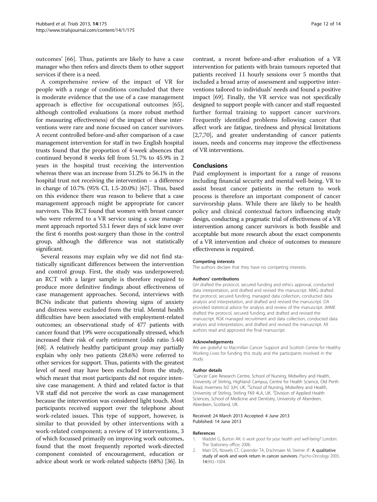<span id="page-11-0"></span>outcomes' [[66\]](#page-13-0). Thus, patients are likely to have a case manager who then refers and directs them to other support services if there is a need.

A comprehensive review of the impact of VR for people with a range of conditions concluded that there is moderate evidence that the use of a case management approach is effective for occupational outcomes [\[65](#page-13-0)], although controlled evaluations (a more robust method for measuring effectiveness) of the impact of these interventions were rare and none focused on cancer survivors. A recent controlled before-and-after comparison of a case management intervention for staff in two English hospital trusts found that the proportion of 4-week absences that continued beyond 8 weeks fell from 51.7% to 45.9% in 2 years in the hospital trust receiving the intervention whereas there was an increase from 51.2% to 56.1% in the hospital trust not receiving the intervention – a difference in change of 10.7% (95% CI, 1.5-20.0%) [\[67](#page-13-0)]. Thus, based on this evidence there was reason to believe that a case management approach might be appropriate for cancer survivors. This RCT found that women with breast cancer who were referred to a VR service using a case management approach reported 53.1 fewer days of sick leave over the first 6 months post-surgery than those in the control group, although the difference was not statistically significant.

Several reasons may explain why we did not find statistically significant differences between the intervention and control group. First, the study was underpowered; an RCT with a larger sample is therefore required to produce more definitive findings about effectiveness of case management approaches. Second, interviews with BCNs indicate that patients showing signs of anxiety and distress were excluded from the trial. Mental health difficulties have been associated with employment-related outcomes; an observational study of 477 patients with cancer found that 19% were occupationally stressed, which increased their risk of early retirement (odds ratio 5.44) [[68](#page-13-0)]. A relatively healthy participant group may partially explain why only two patients (28.6%) were referred to other services for support. Thus, patients with the greatest level of need may have been excluded from the study, which meant that most participants did not require intensive case management. A third and related factor is that VR staff did not perceive the work as case management because the intervention was considered light touch. Most participants received support over the telephone about work-related issues. This type of support, however, is similar to that provided by other interventions with a work-related component; a review of 19 interventions, 3 of which focussed primarily on improving work outcomes, found that the most frequently reported work-directed component consisted of encouragement, education or advice about work or work-related subjects (68%) [[36\]](#page-12-0). In

contrast, a recent before-and-after evaluation of a VR intervention for patients with brain tumours reported that patients received 11 hourly sessions over 5 months that included a broad array of assessment and supportive interventions tailored to individuals' needs and found a positive impact [[69](#page-13-0)]. Finally, the VR service was not specifically designed to support people with cancer and staff requested further formal training to support cancer survivors. Frequently identified problems following cancer that affect work are fatigue, tiredness and physical limitations [2,[7,](#page-12-0)[70](#page-13-0)], and greater understanding of cancer patients issues, needs and concerns may improve the effectiveness of VR interventions.

## Conclusions

Paid employment is important for a range of reasons including financial security and mental well-being. VR to assist breast cancer patients in the return to work process is therefore an important component of cancer survivorship plans. While there are likely to be health policy and clinical contextual factors influencing study design, conducting a pragmatic trial of effectiveness of a VR intervention among cancer survivors is both feasible and acceptable but more research about the exact components of a VR intervention and choice of outcomes to measure effectiveness is required.

#### Competing interests

The authors declare that they have no competing interests.

#### Authors' contributions

GH drafted the protocol, secured funding and ethics approval, conducted data interpretation, and drafted and revised the manuscript. NMG drafted the protocol, secured funding, managed data collection, conducted data analysis and interpretation, and drafted and revised the manuscript. DA provided statistical advice for analysis and review of the manuscript. JMME drafted the protocol, secured funding, and drafted and revised the manuscript. RGK managed recruitment and data collection, conducted data analysis and interpretation, and drafted and revised the manuscript. All authors read and approved the final manuscript.

#### Acknowledgements

We are grateful to Macmillan Cancer Support and Scottish Centre for Healthy Working Lives for funding this study and the participants involved in the study.

#### Author details

<sup>1</sup> Cancer Care Research Centre, School of Nursing, Midwifery and Health, University of Stirling, Highland Campus, Centre for Health Science, Old Perth Road, Inverness IV2 3JH, UK. <sup>2</sup>School of Nursing, Midwifery and Health, University of Stirling, Stirling FK9 4LA, UK. <sup>3</sup> Division of Applied Health Sciences, School of Medicine and Dentistry, University of Aberdeen, Aberdeen, Scotland, UK.

#### Received: 24 March 2013 Accepted: 4 June 2013 Published: 14 June 2013

#### References

- 1. Waddel G, Burton AK: Is work good for your health and well-being? London: The Stationery office; 2006.
- 2. Main DS, Nowels CT, Cavender TA, Etschmaier M, Steiner JF: A qualitative study of work and work return in cancer survivors. Psycho-Oncology 2005, 14:992–1004.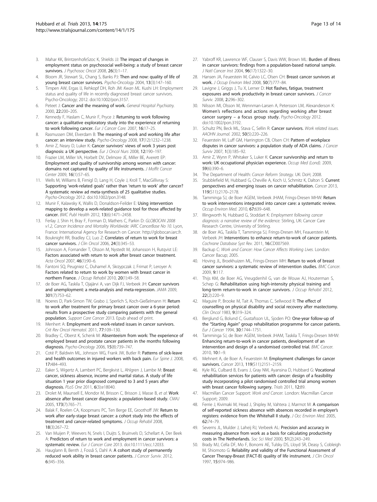- <span id="page-12-0"></span>3. Mahar KK, BrintzenhofeSzoc K, Shields JJ: The impact of changes in employment status on psychosocial well-being: a study of breast cancer survivors. J Psychosoc Oncol 2008, 26(3):1-17.
- 4. Bloom JR, Stewart SL, Chang S, Banks PJ: Then and now: quality of life of young breast cancer survivors. Psycho-Oncology 2004, 13(3):147–160.
- 5. Timpen AW, Ergas IJ, Rehkopf DH, Roh JM: Kwan ML. Kushi LH: Employment status and quality of life in recently diagnosed breast cancer survivors. Psycho-Oncology; 2012. doi:[10.1002/pon.3157](http://dx.doi.org/10.1002/pon.3157).
- 6. Peteet J: Cancer and the meaning of work. General Hospital Psychiatry. 2000, 22:200–205.
- 7. Kennedy F, Haslam C, Munir F, Pryce J: Returning to work following cancer: a qualitative exploratory study into the experience of returning to work following cancer. Eur J Cancer Care. 2007, 16:17-25.
- 8. Rasmussen DM, Elverdam B: The meaning of work and working life after cancer: an interview study. Psycho-Oncology 2008, 17(12):1232–1238.
- 9. Amir Z, Neary D, Luker K: Cancer survivors' views of work 3 years post diagnosis: a UK perspective. Eur J Oncol Nurs 2008, 12:190-197.
- 10. Frazier LM, Miller VA, Horbelt DV, Delmore JE, Miller BE, Averett EP: Employment and quality of survivorship among women with cancer: domains not captured by quality of life instruments. J Moffit Cancer Center 2009, 16(1):57–65.
- 11. Wells M, Williams B, Firnigl D, Lang H, Coyle J, Kroll T, MacGillivray S: Supporting 'work-related goals' rather than 'return to work' after cancer? A systematic review ad meta-synthesis of 25 qualitative studies. Psycho-Oncology 2012. doi:[10.1002/pon.3148](http://dx.doi.org/10.1002/pon.3148).
- 12. Munir F, Kalawsky K, Wallis D, Donaldson-Feilder E: Using intervention mapping to develop a work-related guidance tool for those affected by cancer. BMC Publ Health 2012, 13(6):1471–2458.
- 13. Ferlay J, Shin H, Bray F, Forman D, Mathers C, Parkin D: GLOBOCAN 2008 v1.2, Cancer Incidence and Mortality Worldwide: IARC CancerBase No 10. Lyon, France: International Agency for Research on Cancer.<http://globocan.iarc.fr>.
- 14. Bouknight RR, Bradley CJ, Luo Z: Correlates of return to work for breast cancer survivors. J Clin Oncol 2006, 24(3):345–53.
- 15. Johnsson A, Fornander T, Olsson M, Nystedt M, Johansson H, Rutqvist LE: Factors associated with return to work after breast cancer treatment. Acta Oncol 2007, 46(1):90–6.
- 16. Fantoni SQ, Peugniez C, Duhamel A, Skrzypczak J, Frimat P, Leroyer A: Factors related to return to work by women with breast cancer in northern France. J Occup Rehabil 2010, 20(1):49–58.
- 17. de Boer AG, Taskila T, Ojajärvi A, van Dijk FJ, Verbeek JH: Cancer survivors and unemployment: a meta-analysis and meta-regression. JAMA 2009, 301(7):753–62.
- 18. Noeres D, Park-Simon TW, Grabo J, Sperlich S, Koch-Gießelmann H: Return to work after treatment for primary breast cancer over a 6-year period: results from a prospective study comparing patients with the general population. Support Care Cancer 2013. Epub ahead of print.
- 19. Menhert A: Employment and work-related issues in cancer survivors. Crit Rev Oncol Hematol. 2011, 77:109–130.
- 20. Bradley C, Oberst K, Schenk M: Absenteeism from work: The experience of employed breast and prostate cancer patients in the months following diagnosis. Psycho-Oncology 2006, 15(8):739–747.
- 21. Coté P, Baldwin ML, Johnson WG, Frank JW, Butler R: Patterns of sick-leave and health outcomes in injured workers with back pain. Eur Spine J. 2008, 17:484–493.
- 22. Eaker S, Wigertz A, Lambert PC, Bergkvist L, Ahlgren J, Lambe M: Breast cancer, sickness absence, income and marital status. A study of life situation 1 year prior diagnosed compared to 3 and 5 years after diagnosis. PLoS One 2011, 6(3):e18040.
- 23. Drolet M, Maunsell E, Mondor M, Brisson C, Brisson J, Masse B, et al: Work absence after breast cancer diagnosis: a population-based study. CMAJ 2005, 173(7):765–71.
- 24. Balak F, Roelen CA, Koopmans PC, Ten Berge EE, Groothoff JW: Return to work after early-stage breast cancer: a cohort study into the effects of treatment and cancer-related symptoms. J Occup Rehabil 2008, 18(3):267–72.
- 25. Van Muijen P, Weevers N, Snels I, Duijts S, Bruinvels D, Schellart A, Der Beek A: Predictors of return to work and employment in cancer survivors: a systematic review. Eur J Cancer Care 2013. doi[:10.1111/ecc.12033](http://dx.doi.org/10.1111/ecc.12033).
- 26. Hauglann B, Benth J, Fosså S, Dahl A: A cohort study of permanently reduced work ability in breast cancer patients. J Cancer Surviv. 2012, 6:345–356.
- 27. Yabroff KR, Lawrence WF, Clauser S, Davis WW, Brown ML: Burden of illness in cancer survivors: findings from a population-based national sample. J Natl Cancer Inst 2004, 96(17):1322–30.
- 28. Hansen JA, Feuerstein M, Calvio LC, Olsen CH: Breast cancer survivors at work. J Occup Environ Med 2008, 50(7):777–84.
- 29. Lavigne J, Griggs J, Tu X, Lerner D: Hot flashes, fatigue, treatment exposures and work productivity in breast cancer survivors. J Cancer Surviv. 2008, 2:296–302.
- 30. Nilsson MI, Olsson M, Wennman-Larsen A, Petersson LM, Alexanderson K: Women's reflections and actions regarding working after breast cancer surgery – a focus group study. Psycho-Oncology 2012. doi[:10.1002/pon.3192](http://dx.doi.org/10.1002/pon.3192).
- 31. Schultz PN, Beck ML, Stava C, Sellin R: Cancer survivors. Work related issues. AAOHN Journal. 2002, 50(5):220–226.
- 32. Feuerstein M, Luff GM, Harrington CB, Olsen CH: Pattern of workplace disputes in cancer survivors: a population study of ADA claims. J Cancer Surviv 2007, 1(3):185–92.
- 33. Amir Z, Wynn P, Whitaker S, Luker K: Cancer survivorship and return to work: UK occupational physician experience. Occup Med (Lond). 2009, 59(6):390–6.
- 34. The Department of Health: Cancer Reform Strategy. UK: DoH; 2008.
- Stubblefield M, Hubbard G, Cheville A, Koch U, Schmitz K, Dalton S: Current perspectives and emerging issues on cancer rehabilitation. Cancer 2013, 119(S11):2170–2178.
- 36. Tamminga SJ, de Boer AGEM, Verbeek JHAM, Frings-Dresen MHW: Return to work interventions integrated into cancer care: a systematic review. Occup Environ Med. 2010, 67:639–648.
- 37. Illingworth N, Hubbard G, Stoddart K: Employment following cancer diagnosis: a narrative review of the evidence. Stirling, UK: Cancer Care Research Centre, University of Stirling.
- 38. de Boer AG, Taskila T, Tamminga SJ, Frings-Dresen MH, Feauerstein M, Verbeek JH: Interventions to enhance return-to-work of cancer patients. Cochrane Database Syst Rev. 2011, 16:CD007569.
- 39. Backup C: Work and Cancer: How Cancer Affects Working Lives. London: Cancer Bacup; 2005.
- 40. Hoving JL, Broekhuizen ML, Frings-Dresen MH: Return to work of breast cancer survivors: a systematic review of intervention studies. BMC Cancer. 2009, 9:117.
- 41. Thijs KM, de Boer AG, Vreugdenhil G, van de Wouw AJ, Houterman S, Schep G: Rehabilitation using high-intensity physical training and long-term return-to-work in cancer survivors. J Occup Rehabil 2012, 22(2):220–9.
- 42. Maguire P, Brooke M, Tait A, Thomas C, Sellwood R: The effect of counselling on physical disability and social recovery after mastectomy. Clin Oncol 1983, 9:319–324.
- 43. Berglund G, Bolund C, Gustafsson UL, Sjoden PO: One-year follow-up of the "Starting Again" group rehabilitation programme for cancer patients. Eur J Cancer 1994, 30:1744–1751.
- 44. Tamminga SJ, de Boer AGEM, Verbeek JHAM, Taskila T, Frings-Dresen MHW: Enhancing return-to-work in cancer patients, development of an intervention and design of a randomised controlled trial. BMC Cancer. 2010, 10:1–9.
- 45. Mehnert A, de Boer A, Feuerstein M: Employment challenges for cancer survivors. Cancer 2013, 119(S11):2151-2159.
- 46. Kyle RG, Culbard B, Evans J, Gray NM, Ayansina D, Hubbard G: Vocational rehabilitation services for patients with cancer: design of a feasibility study incorporating a pilot randomised controlled trial among women with breast cancer following surgery. Trials 2011, 12:89.
- 47. Macmillan Cancer Support: Work and Cancer. London: Macmillan Cancer Support; 2009.
- 48. Ferrie J, Kivimaki M, Head J, Shipley M, Vahtera J, Marmot M: A comparison of self-reported sickness absence with absences recorded in employer's registers: evidence from the Whitehall II study. J Occ Environ Med. 2005, 62:74–79.
- 49. Severns JL, Mulder J, Laheij RJ, Verbeek AL: Precision and accuracy in measuring absence from work as a basis for calculating productivity costs in The Netherlands. Soc Sci Med 2000, 51(2):243–249.
- Brady MJ, Cella DF, Mo F, Bonomi AE, Tulsky DS, Lloyd SR, Deasy S, Cobleigh M, Shiomoto G: Reliability and validity of the Functional Assessment of Cancer Therapy-Breast (FACT-B) quality of life instrument. J Clin Oncol 1997, 15:974–986.